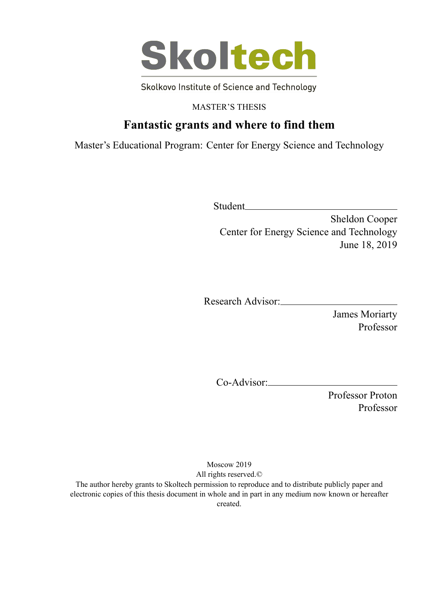

Skolkovo Institute of Science and Technology

MASTER'S THESIS

# **Fantastic grants and where to find them**

Master's Educational Program: Center for Energy Science and Technology

Student

Sheldon Cooper Center for Energy Science and Technology June 18, 2019

Research Advisor:

James Moriarty Professor

Co-Advisor:

Professor Proton Professor

Moscow 2019 All rights reserved.©

The author hereby grants to Skoltech permission to reproduce and to distribute publicly paper and electronic copies of this thesis document in whole and in part in any medium now known or hereafter created.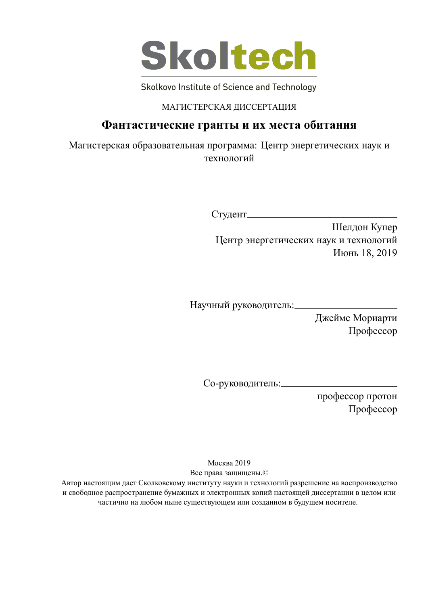

Skolkovo Institute of Science and Technology

### МАГИСТЕРСКАЯ ДИССЕРТАЦИЯ

## **Фантастические гранты и их места обитания**

Магистерская образовательная программа: Центр энергетических наук и технологий

Студент

Шелдон Купер Центр энергетических наук и технологий Июнь 18, 2019

Научный руководитель:

Джеймс Мориарти Профессор

Со-руководитель:

профессор протон Профессор

Москва 2019 Все права защищены.©

Автор настоящим дает Сколковскому институту науки и технологий разрешение на воспроизводство и свободное распространение бумажных и электронных копий настоящей диссертации в целом или частично на любом ныне существующем или созданном в будущем носителе.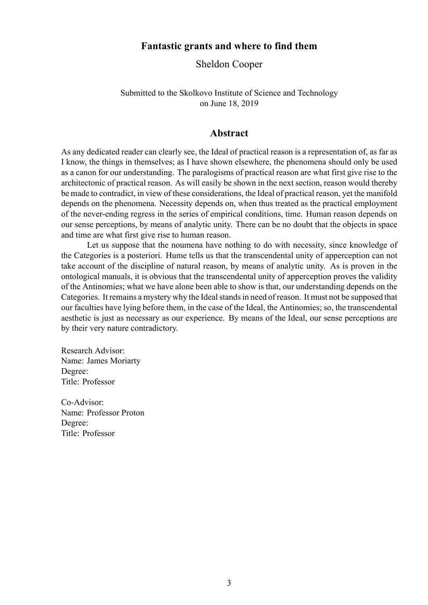### **Fantastic grants and where to find them**

Sheldon Cooper

Submitted to the Skolkovo Institute of Science and Technology on June 18, 2019

#### **Abstract**

As any dedicated reader can clearly see, the Ideal of practical reason is a representation of, as far as I know, the things in themselves; as I have shown elsewhere, the phenomena should only be used as a canon for our understanding. The paralogisms of practical reason are what first give rise to the architectonic of practical reason. As will easily be shown in the next section, reason would thereby be made to contradict, in view of these considerations, the Ideal of practical reason, yet the manifold depends on the phenomena. Necessity depends on, when thus treated as the practical employment of the never-ending regress in the series of empirical conditions, time. Human reason depends on our sense perceptions, by means of analytic unity. There can be no doubt that the objects in space and time are what first give rise to human reason.

Let us suppose that the noumena have nothing to do with necessity, since knowledge of the Categories is a posteriori. Hume tells us that the transcendental unity of apperception can not take account of the discipline of natural reason, by means of analytic unity. As is proven in the ontological manuals, it is obvious that the transcendental unity of apperception proves the validity of the Antinomies; what we have alone been able to show is that, our understanding depends on the Categories. It remains a mystery why the Ideal stands in need of reason. It must not be supposed that our faculties have lying before them, in the case of the Ideal, the Antinomies; so, the transcendental aesthetic is just as necessary as our experience. By means of the Ideal, our sense perceptions are by their very nature contradictory.

Research Advisor: Name: James Moriarty Degree: Title: Professor

Co-Advisor: Name: Professor Proton Degree: Title: Professor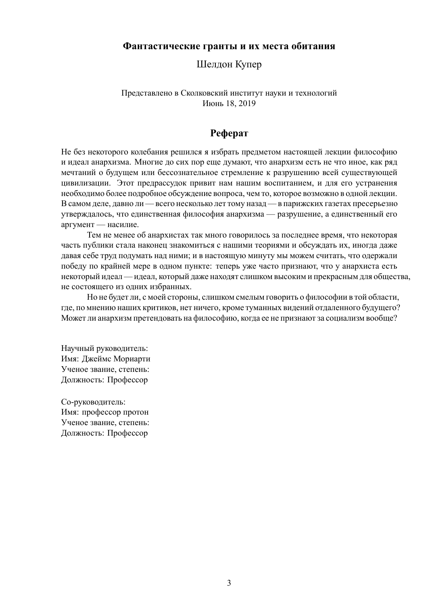### **Фантастические гранты и их места обитания**

Шелдон Купер

Представлено в Сколковский институт науки и технологий Июнь 18, 2019

### **Реферат**

Не без некоторого колебания решился я избрать предметом настоящей лекции философию и идеал анархизма. Многие до сих пор еще думают, что анархизм есть не что иное, как ряд мечтаний о будущем или бессознательное стремление к разрушению всей существующей цивилизации. Этот предрассудок привит нам нашим воспитанием, и для его устранения необходимо более подробное обсуждение вопроса, чем то, которое возможно в одной лекции. В самом деле, давно ли — всего несколько лет тому назад — в парижских газетах пресерьезно утверждалось, что единственная философия анархизма — разрушение, а единственный его аргумент — насилие.

Тем не менее об анархистах так много говорилось за последнее время, что некоторая часть публики стала наконец знакомиться с нашими теориями и обсуждать их, иногда даже давая себе труд подумать над ними; и в настоящую минуту мы можем считать, что одержали победу по крайней мере в одном пункте: теперь уже часто признают, что у анархиста есть некоторый идеал — идеал, который даже находят слишком высоким и прекрасным для общества, не состоящего из одних избранных.

Но не будет ли, с моей стороны, слишком смелым говорить о философии в той области, где, по мнению наших критиков, нет ничего, кроме туманных видений отдаленного будущего? Может ли анархизм претендовать на философию, когда ее не признают за социализм вообще?

Научный руководитель: Имя: Джеймс Мориарти Ученое звание, степень: Должность: Профессор

Со-руководитель: Имя: профессор протон Ученое звание, степень: Должность: Профессор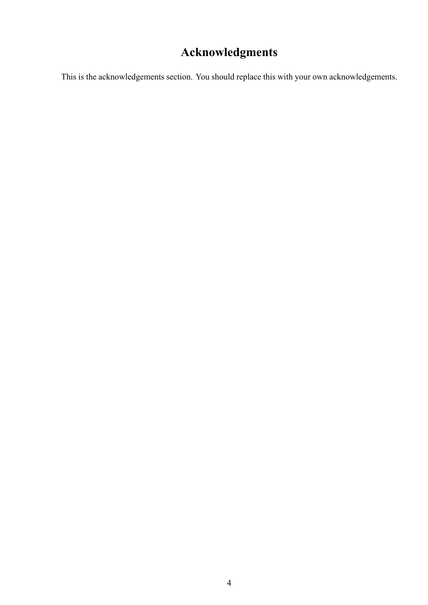# **Acknowledgments**

This is the acknowledgements section. You should replace this with your own acknowledgements.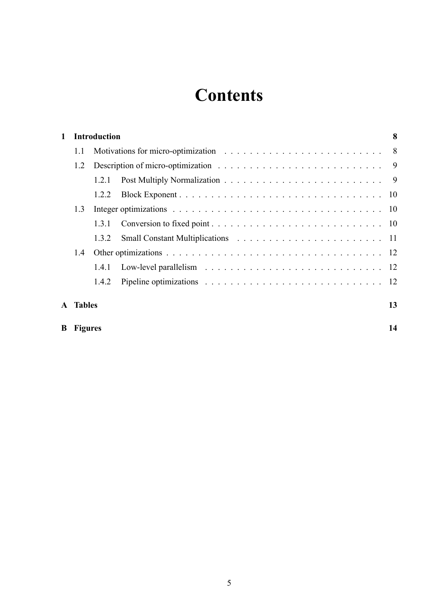# **Contents**

| 1   | <b>Introduction</b> |       |  | 8  |
|-----|---------------------|-------|--|----|
|     | 1.1                 |       |  |    |
|     | 1.2                 |       |  |    |
|     |                     | 121   |  |    |
|     |                     | 1.2.2 |  |    |
| 1.3 |                     |       |  |    |
|     |                     | 131   |  |    |
|     |                     | 1.3.2 |  |    |
| 14  |                     |       |  |    |
|     |                     | 1.4.1 |  |    |
|     |                     | 1.4.2 |  |    |
|     | <b>A</b> Tables     |       |  | 13 |
|     | <b>B</b> Figures    |       |  | 14 |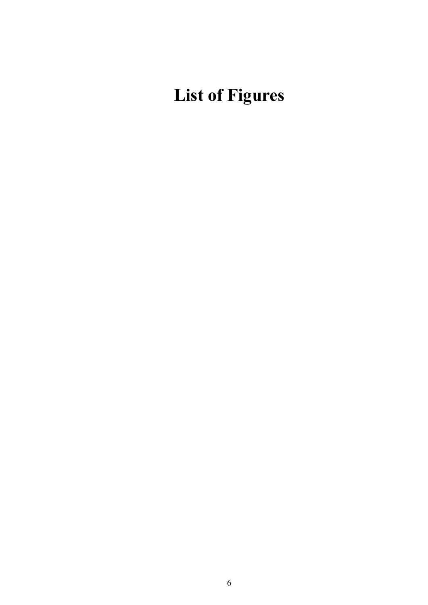# **List of Figures**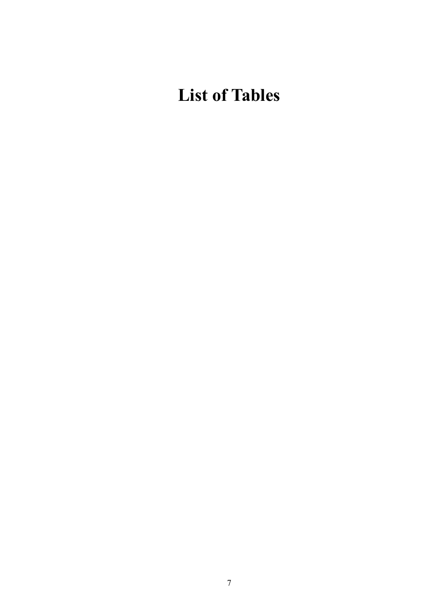# **List of Tables**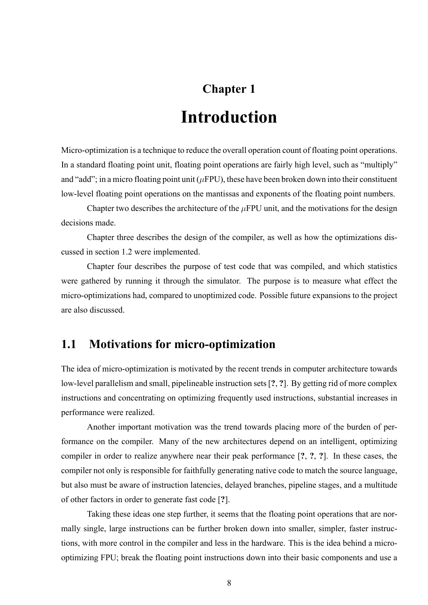# **Chapter 1**

# **Introduction**

Micro-optimization is a technique to reduce the overall operation count of floating point operations. In a standard floating point unit, floating point operations are fairly high level, such as "multiply" and "add"; in a micro floating point unit ( $\mu$ FPU), these have been broken down into their constituent low-level floating point operations on the mantissas and exponents of the floating point numbers.

Chapter two describes the architecture of the *µ*FPU unit, and the motivations for the design decisions made.

Chapter three describes the design of the compiler, as well as how the optimizations discussed in section 1.2 were implemented.

Chapter four describes the purpose of test code that was compiled, and which statistics were gathered by running it through the simulator. The purpose is to measure what effect the micro-optimizations had, compared to unoptimized code. Possible future expansions to the project are also discussed.

## **1.1 Motivations for micro-optimization**

The idea of micro-optimization is motivated by the recent trends in computer architecture towards low-level parallelism and small, pipelineable instruction sets [?, ?]. By getting rid of more complex instructions and concentrating on optimizing frequently used instructions, substantial increases in performance were realized.

Another important motivation was the trend towards placing more of the burden of performance on the compiler. Many of the new architectures depend on an intelligent, optimizing compiler in order to realize anywhere near their peak performance [**?**, **?**, **?**]. In these cases, the compiler not only is responsible for faithfully generating native code to match the source language, but also must be aware of instruction latencies, delayed branches, pipeline stages, and a multitude of other factors in order to generate fast code [**?**].

Taking these ideas one step further, it seems that the floating point operations that are normally single, large instructions can be further broken down into smaller, simpler, faster instructions, with more control in the compiler and less in the hardware. This is the idea behind a microoptimizing FPU; break the floating point instructions down into their basic components and use a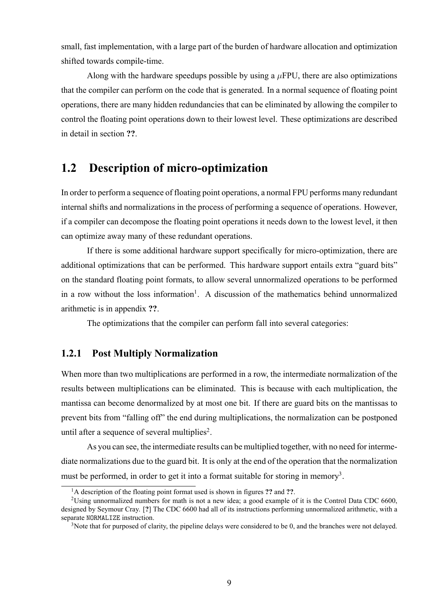small, fast implementation, with a large part of the burden of hardware allocation and optimization shifted towards compile-time.

Along with the hardware speedups possible by using a  $\mu$ FPU, there are also optimizations that the compiler can perform on the code that is generated. In a normal sequence of floating point operations, there are many hidden redundancies that can be eliminated by allowing the compiler to control the floating point operations down to their lowest level. These optimizations are described in detail in section **??**.

## **1.2 Description of micro-optimization**

In order to perform a sequence of floating point operations, a normal FPU performs many redundant internal shifts and normalizations in the process of performing a sequence of operations. However, if a compiler can decompose the floating point operations it needs down to the lowest level, it then can optimize away many of these redundant operations.

If there is some additional hardware support specifically for micro-optimization, there are additional optimizations that can be performed. This hardware support entails extra "guard bits" on the standard floating point formats, to allow several unnormalized operations to be performed in a row without the loss information<sup>1</sup>. A discussion of the mathematics behind unnormalized arithmetic is in appendix **??**.

The optimizations that the compiler can perform fall into several categories:

### **1.2.1 Post Multiply Normalization**

When more than two multiplications are performed in a row, the intermediate normalization of the results between multiplications can be eliminated. This is because with each multiplication, the mantissa can become denormalized by at most one bit. If there are guard bits on the mantissas to prevent bits from "falling off" the end during multiplications, the normalization can be postponed until after a sequence of several multiplies<sup>2</sup>.

As you can see, the intermediate results can be multiplied together, with no need for intermediate normalizations due to the guard bit. It is only at the end of the operation that the normalization must be performed, in order to get it into a format suitable for storing in memory<sup>3</sup>.

<sup>1</sup>A description of the floating point format used is shown in figures **??** and **??**.

<sup>&</sup>lt;sup>2</sup>Using unnormalized numbers for math is not a new idea; a good example of it is the Control Data CDC 6600, designed by Seymour Cray. [**?**] The CDC 6600 had all of its instructions performing unnormalized arithmetic, with a separate NORMALIZE instruction.

 $3$ Note that for purposed of clarity, the pipeline delays were considered to be 0, and the branches were not delayed.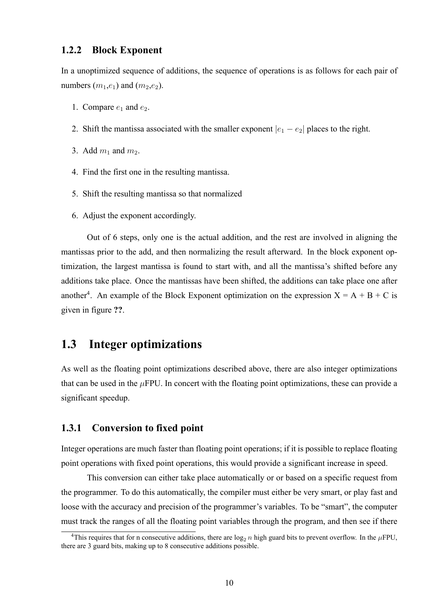#### **1.2.2 Block Exponent**

In a unoptimized sequence of additions, the sequence of operations is as follows for each pair of numbers  $(m_1,e_1)$  and  $(m_2,e_2)$ .

- 1. Compare  $e_1$  and  $e_2$ .
- 2. Shift the mantissa associated with the smaller exponent  $|e_1 e_2|$  places to the right.
- 3. Add  $m_1$  and  $m_2$ .
- 4. Find the first one in the resulting mantissa.
- 5. Shift the resulting mantissa so that normalized
- 6. Adjust the exponent accordingly.

Out of 6 steps, only one is the actual addition, and the rest are involved in aligning the mantissas prior to the add, and then normalizing the result afterward. In the block exponent optimization, the largest mantissa is found to start with, and all the mantissa's shifted before any additions take place. Once the mantissas have been shifted, the additions can take place one after another<sup>4</sup>. An example of the Block Exponent optimization on the expression  $X = A + B + C$  is given in figure **??**.

## **1.3 Integer optimizations**

As well as the floating point optimizations described above, there are also integer optimizations that can be used in the  $\mu$ FPU. In concert with the floating point optimizations, these can provide a significant speedup.

#### **1.3.1 Conversion to fixed point**

Integer operations are much faster than floating point operations; if it is possible to replace floating point operations with fixed point operations, this would provide a significant increase in speed.

This conversion can either take place automatically or or based on a specific request from the programmer. To do this automatically, the compiler must either be very smart, or play fast and loose with the accuracy and precision of the programmer's variables. To be "smart", the computer must track the ranges of all the floating point variables through the program, and then see if there

<sup>&</sup>lt;sup>4</sup>This requires that for n consecutive additions, there are  $log_2 n$  high guard bits to prevent overflow. In the  $\mu$ FPU, there are 3 guard bits, making up to 8 consecutive additions possible.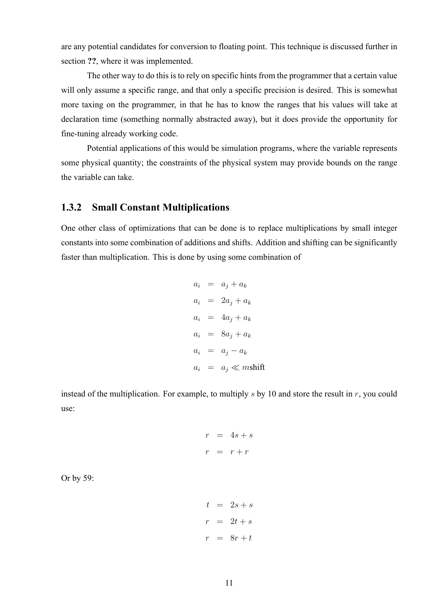are any potential candidates for conversion to floating point. This technique is discussed further in section **??**, where it was implemented.

The other way to do this is to rely on specific hints from the programmer that a certain value will only assume a specific range, and that only a specific precision is desired. This is somewhat more taxing on the programmer, in that he has to know the ranges that his values will take at declaration time (something normally abstracted away), but it does provide the opportunity for fine-tuning already working code.

Potential applications of this would be simulation programs, where the variable represents some physical quantity; the constraints of the physical system may provide bounds on the range the variable can take.

### **1.3.2 Small Constant Multiplications**

One other class of optimizations that can be done is to replace multiplications by small integer constants into some combination of additions and shifts. Addition and shifting can be significantly faster than multiplication. This is done by using some combination of

$$
a_i = a_j + a_k
$$
  
\n
$$
a_i = 2a_j + a_k
$$
  
\n
$$
a_i = 4a_j + a_k
$$
  
\n
$$
a_i = 8a_j + a_k
$$
  
\n
$$
a_i = a_j - a_k
$$
  
\n
$$
a_i = a_j \ll mshift
$$

instead of the multiplication. For example, to multiply *s* by 10 and store the result in *r*, you could use:

$$
r = 4s + s
$$

$$
r = r + r
$$

Or by 59:

$$
t = 2s + s
$$

$$
r = 2t + s
$$

$$
r = 8r + t
$$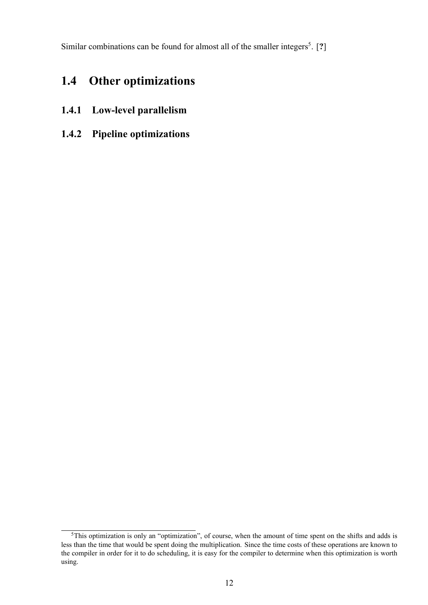Similar combinations can be found for almost all of the smaller integers<sup>5</sup>. [?]

# **1.4 Other optimizations**

- 1.4.1 Low-level parallelism
- **1.4.2 Pipeline optimizations**

<sup>&</sup>lt;sup>5</sup>This optimization is only an "optimization", of course, when the amount of time spent on the shifts and adds is less than the time that would be spent doing the multiplication. Since the time costs of these operations are known to the compiler in order for it to do scheduling, it is easy for the compiler to determine when this optimization is worth using.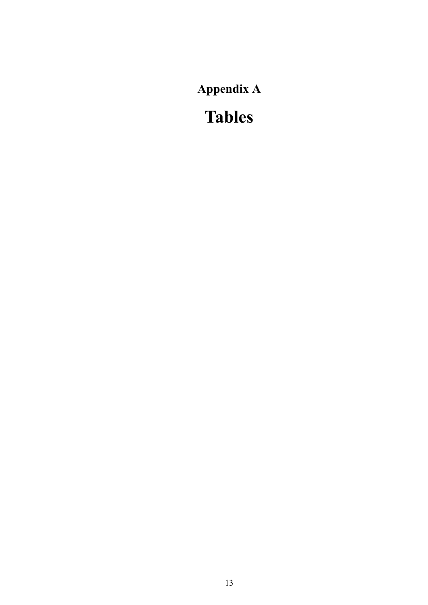**Appendix A**

**Tables**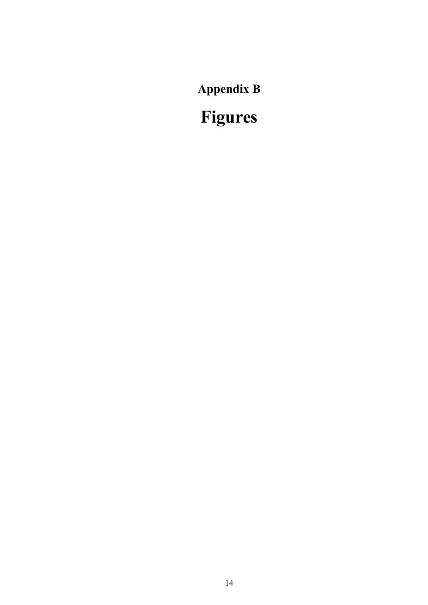**Appendix B**

**Figures**